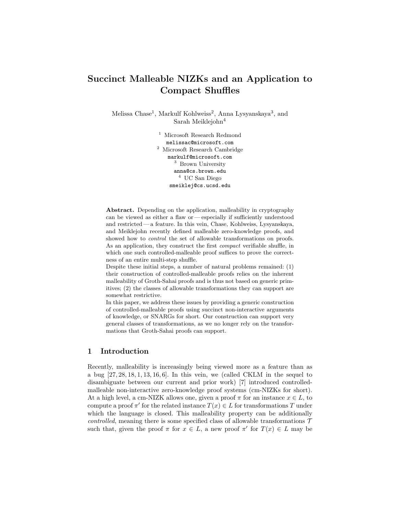# Succinct Malleable NIZKs and an Application to Compact Shuffles

Melissa Chase<sup>1</sup>, Markulf Kohlweiss<sup>2</sup>, Anna Lysyanskaya<sup>3</sup>, and Sarah Meiklejohn<sup>4</sup>

> <sup>1</sup> Microsoft Research Redmond melissac@microsoft.com <sup>2</sup> Microsoft Research Cambridge markulf@microsoft.com <sup>3</sup> Brown University anna@cs.brown.edu <sup>4</sup> UC San Diego smeiklej@cs.ucsd.edu

Abstract. Depending on the application, malleability in cryptography can be viewed as either a flaw or— especially if sufficiently understood and restricted— a feature. In this vein, Chase, Kohlweiss, Lysyanskaya, and Meiklejohn recently defined malleable zero-knowledge proofs, and showed how to *control* the set of allowable transformations on proofs. As an application, they construct the first compact verifiable shuffle, in which one such controlled-malleable proof suffices to prove the correctness of an entire multi-step shuffle.

Despite these initial steps, a number of natural problems remained: (1) their construction of controlled-malleable proofs relies on the inherent malleability of Groth-Sahai proofs and is thus not based on generic primitives; (2) the classes of allowable transformations they can support are somewhat restrictive.

In this paper, we address these issues by providing a generic construction of controlled-malleable proofs using succinct non-interactive arguments of knowledge, or SNARGs for short. Our construction can support very general classes of transformations, as we no longer rely on the transformations that Groth-Sahai proofs can support.

# 1 Introduction

Recently, malleability is increasingly being viewed more as a feature than as a bug [27, 28, 18, 1, 13, 16, 6]. In this vein, we (called CKLM in the sequel to disambiguate between our current and prior work) [7] introduced controlledmalleable non-interactive zero-knowledge proof systems (cm-NIZKs for short). At a high level, a cm-NIZK allows one, given a proof  $\pi$  for an instance  $x \in L$ , to compute a proof  $\pi'$  for the related instance  $T(x) \in L$  for transformations T under which the language is closed. This malleability property can be additionally *controlled*, meaning there is some specified class of allowable transformations  $\mathcal{T}$ such that, given the proof  $\pi$  for  $x \in L$ , a new proof  $\pi'$  for  $T(x) \in L$  may be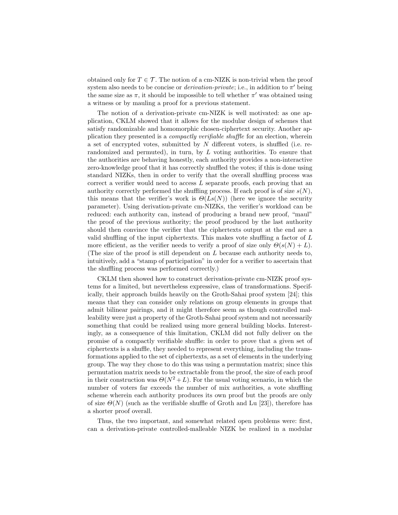obtained only for  $T \in \mathcal{T}$ . The notion of a cm-NIZK is non-trivial when the proof system also needs to be concise or *derivation-private*; i.e., in addition to  $\pi'$  being the same size as  $\pi$ , it should be impossible to tell whether  $\pi'$  was obtained using a witness or by mauling a proof for a previous statement.

The notion of a derivation-private cm-NIZK is well motivated: as one application, CKLM showed that it allows for the modular design of schemes that satisfy randomizable and homomorphic chosen-ciphertext security. Another application they presented is a compactly verifiable shuffle for an election, wherein a set of encrypted votes, submitted by  $N$  different voters, is shuffled (i.e. rerandomized and permuted), in turn, by L voting authorities. To ensure that the authorities are behaving honestly, each authority provides a non-interactive zero-knowledge proof that it has correctly shuffled the votes; if this is done using standard NIZKs, then in order to verify that the overall shuffling process was correct a verifier would need to access L separate proofs, each proving that an authority correctly performed the shuffling process. If each proof is of size  $s(N)$ , this means that the verifier's work is  $\Theta(Ls(N))$  (here we ignore the security parameter). Using derivation-private cm-NIZKs, the verifier's workload can be reduced: each authority can, instead of producing a brand new proof, "maul" the proof of the previous authority; the proof produced by the last authority should then convince the verifier that the ciphertexts output at the end are a valid shuffling of the input ciphertexts. This makes vote shuffling a factor of L more efficient, as the verifier needs to verify a proof of size only  $\Theta(s(N) + L)$ . (The size of the proof is still dependent on  $L$  because each authority needs to, intuitively, add a "stamp of participation" in order for a verifier to ascertain that the shuffling process was performed correctly.)

CKLM then showed how to construct derivation-private cm-NIZK proof systems for a limited, but nevertheless expressive, class of transformations. Specifically, their approach builds heavily on the Groth-Sahai proof system [24]; this means that they can consider only relations on group elements in groups that admit bilinear pairings, and it might therefore seem as though controlled malleability were just a property of the Groth-Sahai proof system and not necessarily something that could be realized using more general building blocks. Interestingly, as a consequence of this limitation, CKLM did not fully deliver on the promise of a compactly verifiable shuffle: in order to prove that a given set of ciphertexts is a shuffle, they needed to represent everything, including the transformations applied to the set of ciphertexts, as a set of elements in the underlying group. The way they chose to do this was using a permutation matrix; since this permutation matrix needs to be extractable from the proof, the size of each proof in their construction was  $\Theta(N^2+L)$ . For the usual voting scenario, in which the number of voters far exceeds the number of mix authorities, a vote shuffling scheme wherein each authority produces its own proof but the proofs are only of size  $\Theta(N)$  (such as the verifiable shuffle of Groth and Lu [23]), therefore has a shorter proof overall.

Thus, the two important, and somewhat related open problems were: first, can a derivation-private controlled-malleable NIZK be realized in a modular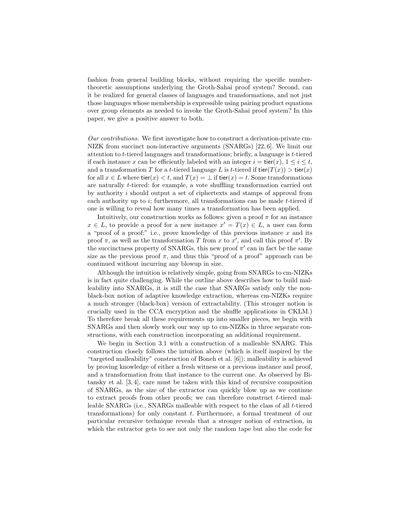fashion from general building blocks, without requiring the specific numbertheoretic assumptions underlying the Groth-Sahai proof system? Second, can it be realized for general classes of languages and transformations, and not just those languages whose membership is expressible using pairing product equations over group elements as needed to invoke the Groth-Sahai proof system? In this paper, we give a positive answer to both.

Our contributions. We first investigate how to construct a derivation-private cm-NIZK from succinct non-interactive arguments (SNARGs) [22, 6]. We limit our attention to t-tiered languages and transformations; briefly, a language is t-tiered if each instance x can be efficiently labeled with an integer  $i = \text{tier}(x)$ ,  $1 \leq i \leq t$ , and a transformation T for a t-tiered language L is t-tiered if tier( $T(x)$ ) > tier(x) for all  $x \in L$  where tier $(x) < t$ , and  $T(x) = \bot$  if tier $(x) = t$ . Some transformations are naturally t-tiered: for example, a vote shuffling transformation carried out by authority i should output a set of ciphertexts and stamps of approval from each authority up to  $i$ ; furthermore, all transformations can be made t-tiered if one is willing to reveal how many times a transformation has been applied.

Intuitively, our construction works as follows: given a proof  $\pi$  for an instance  $x \in L$ , to provide a proof for a new instance  $x' = T(x) \in L$ , a user can form a "proof of a proof;" i.e., prove knowledge of this previous instance  $x$  and its proof  $\pi$ , as well as the transformation T from x to x', and call this proof  $\pi'$ . By the succinctness property of SNARGs, this new proof  $\pi'$  can in fact be the same size as the previous proof  $\pi$ , and thus this "proof of a proof" approach can be continued without incurring any blowup in size.

Although the intuition is relatively simple, going from SNARGs to cm-NIZKs is in fact quite challenging. While the outline above describes how to build malleability into SNARGs, it is still the case that SNARGs satisfy only the nonblack-box notion of adaptive knowledge extraction, whereas cm-NIZKs require a much stronger (black-box) version of extractability. (This stronger notion is crucially used in the CCA encryption and the shuffle applications in CKLM.) To therefore break all these requirements up into smaller pieces, we begin with SNARGs and then slowly work our way up to cm-NIZKs in three separate constructions, with each construction incorporating an additional requirement.

We begin in Section 3.1 with a construction of a malleable SNARG. This construction closely follows the intuition above (which is itself inspired by the "targeted malleability" construction of Boneh et al. [6]): malleability is achieved by proving knowledge of either a fresh witness or a previous instance and proof, and a transformation from that instance to the current one. As observed by Bitansky et al. [3, 4], care must be taken with this kind of recursive composition of SNARGs, as the size of the extractor can quickly blow up as we continue to extract proofs from other proofs; we can therefore construct t-tiered malleable SNARGs (i.e., SNARGs malleable with respect to the class of all t-tiered transformations) for only constant t. Furthermore, a formal treatment of our particular recursive technique reveals that a stronger notion of extraction, in which the extractor gets to see not only the random tape but also the code for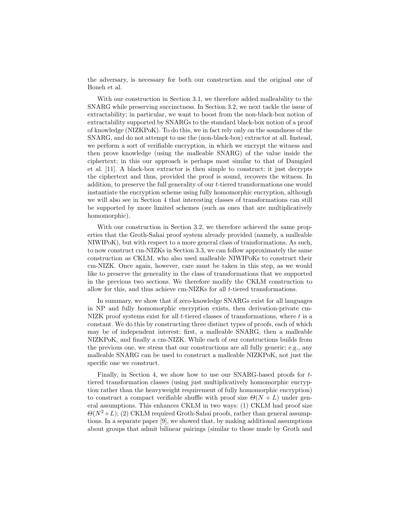the adversary, is necessary for both our construction and the original one of Boneh et al.

With our construction in Section 3.1, we therefore added malleability to the SNARG while preserving succinctness. In Section 3.2, we next tackle the issue of extractability; in particular, we want to boost from the non-black-box notion of extractability supported by SNARGs to the standard black-box notion of a proof of knowledge (NIZKPoK). To do this, we in fact rely only on the soundness of the SNARG, and do not attempt to use the (non-black-box) extractor at all. Instead, we perform a sort of verifiable encryption, in which we encrypt the witness and then prove knowledge (using the malleable SNARG) of the value inside the ciphertext; in this our approach is perhaps most similar to that of Damgård et al. [11]. A black-box extractor is then simple to construct: it just decrypts the ciphertext and thus, provided the proof is sound, recovers the witness. In addition, to preserve the full generality of our t-tiered transformations one would instantiate the encryption scheme using fully homomorphic encryption, although we will also see in Section 4 that interesting classes of transformations can still be supported by more limited schemes (such as ones that are multiplicatively homomorphic).

With our construction in Section 3.2, we therefore achieved the same properties that the Groth-Sahai proof system already provided (namely, a malleable NIWIPoK), but with respect to a more general class of transformations. As such, to now construct cm-NIZKs in Section 3.3, we can follow approximately the same construction as CKLM, who also used malleable NIWIPoKs to construct their cm-NIZK. Once again, however, care must be taken in this step, as we would like to preserve the generality in the class of transformations that we supported in the previous two sections. We therefore modify the CKLM construction to allow for this, and thus achieve cm-NIZKs for all t-tiered transformations.

In summary, we show that if zero-knowledge SNARGs exist for all languages in NP and fully homomorphic encryption exists, then derivation-private cm-NIZK proof systems exist for all t-tiered classes of transformations, where t is a constant. We do this by constructing three distinct types of proofs, each of which may be of independent interest: first, a malleable SNARG, then a malleable NIZKPoK, and finally a cm-NIZK. While each of our constructions builds from the previous one, we stress that our constructions are all fully generic; e.g., any malleable SNARG can be used to construct a malleable NIZKPoK, not just the specific one we construct.

Finally, in Section 4, we show how to use our SNARG-based proofs for ttiered transformation classes (using just multiplicatively homomorphic encryption rather than the heavyweight requirement of fully homomorphic encryption) to construct a compact verifiable shuffle with proof size  $\Theta(N+L)$  under general assumptions. This enhances CKLM in two ways: (1) CKLM had proof size  $\Theta(N^2+L)$ ; (2) CKLM required Groth-Sahai proofs, rather than general assumptions. In a separate paper [9], we showed that, by making additional assumptions about groups that admit bilinear pairings (similar to those made by Groth and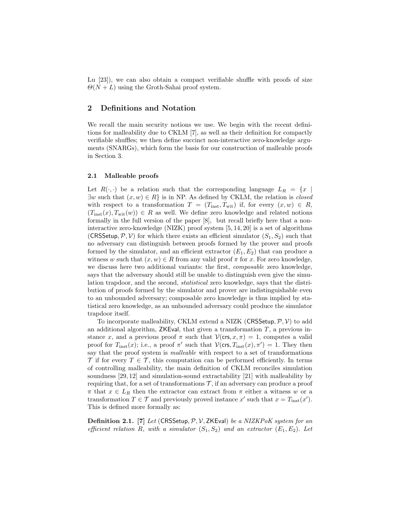Lu [23]), we can also obtain a compact verifiable shuffle with proofs of size  $\Theta(N+L)$  using the Groth-Sahai proof system.

# 2 Definitions and Notation

We recall the main security notions we use. We begin with the recent definitions for malleability due to CKLM [7], as well as their definition for compactly verifiable shuffles; we then define succinct non-interactive zero-knowledge arguments (SNARGs), which form the basis for our construction of malleable proofs in Section 3.

#### 2.1 Malleable proofs

Let  $R(\cdot, \cdot)$  be a relation such that the corresponding language  $L_R = \{x \mid$  $\exists w$  such that  $(x, w) \in R$  is in NP. As defined by CKLM, the relation is *closed* with respect to a transformation  $T = (T_{\text{inst}}, T_{\text{wit}})$  if, for every  $(x, w) \in R$ ,  $(T_{\text{inst}}(x), T_{\text{wit}}(w)) \in R$  as well. We define zero knowledge and related notions formally in the full version of the paper [8], but recall briefly here that a noninteractive zero-knowledge (NIZK) proof system [5, 14, 20] is a set of algorithms (CRSSetup,  $P$ ,  $V$ ) for which there exists an efficient simulator  $(S_1, S_2)$  such that no adversary can distinguish between proofs formed by the prover and proofs formed by the simulator, and an efficient extractor  $(E_1, E_2)$  that can produce a witness w such that  $(x, w) \in R$  from any valid proof  $\pi$  for x. For zero knowledge, we discuss here two additional variants: the first, composable zero knowledge, says that the adversary should still be unable to distinguish even give the simulation trapdoor, and the second, statistical zero knowledge, says that the distribution of proofs formed by the simulator and prover are indistinguishable even to an unbounded adversary; composable zero knowledge is thus implied by statistical zero knowledge, as an unbounded adversary could produce the simulator trapdoor itself.

To incorporate malleability, CKLM extend a NIZK (CRSSetup,  $P, V$ ) to add an additional algorithm, ZKEval, that given a transformation  $T$ , a previous instance x, and a previous proof  $\pi$  such that  $\mathcal{V}(\mathsf{crs}, x, \pi) = 1$ , computes a valid proof for  $T_{\text{inst}}(x)$ ; i.e., a proof  $\pi'$  such that  $\mathcal{V}(\text{crs}, T_{\text{inst}}(x), \pi') = 1$ . They then say that the proof system is *malleable* with respect to a set of transformations T if for every  $T \in \mathcal{T}$ , this computation can be performed efficiently. In terms of controlling malleability, the main definition of CKLM reconciles simulation soundness [29, 12] and simulation-sound extractability [21] with malleability by requiring that, for a set of transformations  $\mathcal{T}$ , if an adversary can produce a proof  $\pi$  that  $x \in L_R$  then the extractor can extract from  $\pi$  either a witness w or a transformation  $T \in \mathcal{T}$  and previously proved instance x' such that  $x = T_{\text{inst}}(x')$ . This is defined more formally as:

**Definition 2.1.** [7] Let (CRSSetup,  $P$ ,  $V$ , ZKEval) be a NIZKPoK system for an efficient relation R, with a simulator  $(S_1, S_2)$  and an extractor  $(E_1, E_2)$ . Let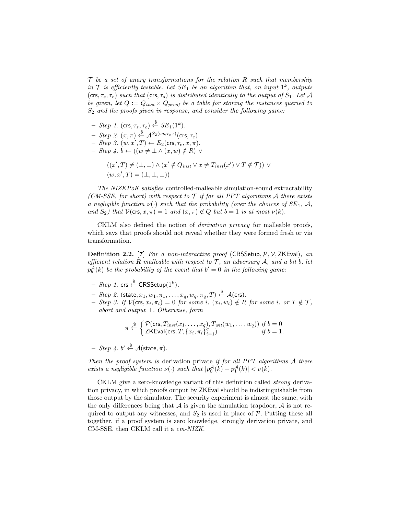$\mathcal T$  be a set of unary transformations for the relation R such that membership in  $\mathcal T$  is efficiently testable. Let  $SE_1$  be an algorithm that, on input  $1^k$ , outputs (crs,  $\tau_s$ ,  $\tau_e$ ) such that (crs,  $\tau_s$ ) is distributed identically to the output of  $S_1$ . Let A be given, let  $Q := Q_{inst} \times Q_{proof}$  be a table for storing the instances queried to  $S_2$  and the proofs given in response, and consider the following game:

- $-$  Step 1. (crs,  $\tau_s, \tau_e$ )  $\stackrel{\$}{\leftarrow}$   $SE_1(1^k)$ .
- $-$  *Step 2.* (*x*, *π*) ← *A*<sup>*S*<sub>2</sub>(crs, *π<sub>s</sub>*, ·)</sup>(crs, *π<sub>e</sub>*).
- $-$  Step 3.  $(w, x', T) \leftarrow E_2(\text{crs}, \tau_e, x, \pi)$ .
- $-$  Step 4.  $b \leftarrow ((w \neq \bot \wedge (x, w) \notin R) \vee$ 
	- $((x', T) \neq (\perp, \perp) \land (x' \notin Q_{inst} \lor x \neq T_{inst}(x') \lor T \notin \mathcal{T})) \lor$  $(w, x', T) = (\perp, \perp, \perp))$

The NIZKPoK satisfies controlled-malleable simulation-sound extractability (CM-SSE, for short) with respect to  $\mathcal T$  if for all PPT algorithms  $\mathcal A$  there exists a negligible function  $\nu(\cdot)$  such that the probability (over the choices of  $SE_1$ , A, and  $S_2$ ) that  $\mathcal{V}(\mathsf{crs}, x, \pi) = 1$  and  $(x, \pi) \notin Q$  but  $b = 1$  is at most  $\nu(k)$ .

CKLM also defined the notion of derivation privacy for malleable proofs, which says that proofs should not reveal whether they were formed fresh or via transformation.

**Definition 2.2.** [7] For a non-interactive proof (CRSSetup,  $P, V, ZKEval$ ), an efficient relation R malleable with respect to  $\mathcal{T}$ , an adversary A, and a bit b, let  $p_b^{\mathcal{A}}(k)$  be the probability of the event that  $b'=0$  in the following game:

- $Step~1.$   $\mathsf{crs} \overset{\$}{\leftarrow} \mathsf{CRSSetup}(1^k).$
- $\,\, Step\,\, 2. \,\, ({\sf state}, x_1, w_1, \pi_1, \ldots, x_q, w_q, \pi_q, T) \stackrel{\$}{\leftarrow} \mathcal{A}({\sf crs}) .$
- $-$  Step 3. If  $\mathcal{V}(\mathsf{crs}, x_i, \pi_i) = 0$  for some i,  $(x_i, w_i) \notin R$  for some i, or  $T \notin \mathcal{T}$ , abort and output  $\bot$ . Otherwise, form

$$
\pi \stackrel{\$}{\leftarrow} \begin{cases} \mathcal{P}(\mathsf{crs}, T_{inst}(x_1, \dots, x_q), T_{wit}(w_1, \dots, w_q)) \text{ if } b = 0 \\ \mathsf{ZKEval}(\mathsf{crs}, T, \{x_i, \pi_i\}_{i=1}^q) & \text{if } b = 1. \end{cases}
$$

 $Step 4. b' \stackrel{\$}{\leftarrow} \mathcal{A}(\mathsf{state}, \pi).$ 

Then the proof system is derivation private if for all PPT algorithms  $A$  there exists a negligible function  $\nu(\cdot)$  such that  $|p_0^{\mathcal{A}}(k) - p_1^{\mathcal{A}}(k)| < \nu(k)$ .

CKLM give a zero-knowledge variant of this definition called strong derivation privacy, in which proofs output by ZKEval should be indistinguishable from those output by the simulator. The security experiment is almost the same, with the only differences being that  $A$  is given the simulation trapdoor,  $A$  is not required to output any witnesses, and  $S_2$  is used in place of  $P$ . Putting these all together, if a proof system is zero knowledge, strongly derivation private, and CM-SSE, then CKLM call it a cm-NIZK.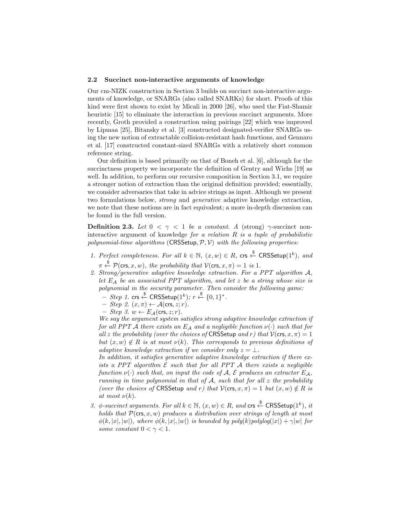#### 2.2 Succinct non-interactive arguments of knowledge

Our cm-NIZK construction in Section 3 builds on succinct non-interactive arguments of knowledge, or SNARGs (also called SNARKs) for short. Proofs of this kind were first shown to exist by Micali in 2000 [26], who used the Fiat-Shamir heuristic [15] to eliminate the interaction in previous succinct arguments. More recently, Groth provided a construction using pairings [22] which was improved by Lipmaa [25], Bitansky et al. [3] constructed designated-verifier SNARGs using the new notion of extractable collision-resistant hash functions, and Gennaro et al. [17] constructed constant-sized SNARGs with a relatively short common reference string.

Our definition is based primarily on that of Boneh et al. [6], although for the succinctness property we incorporate the definition of Gentry and Wichs [19] as well. In addition, to perform our recursive composition in Section 3.1, we require a stronger notion of extraction than the original definition provided; essentially, we consider adversaries that take in advice strings as input. Although we present two formulations below, strong and generative adaptive knowledge extraction, we note that these notions are in fact equivalent; a more in-depth discussion can be found in the full version.

**Definition 2.3.** Let  $0 < \gamma < 1$  be a constant. A (strong)  $\gamma$ -succinct noninteractive argument of knowledge for a relation  $R$  is a tuple of probabilistic polynomial-time algorithms  $(CRSSetup, \mathcal{P}, \mathcal{V})$  with the following properties:

- 1. Perfect completeness. For all  $k \in \mathbb{N}$ ,  $(x, w) \in R$ , crs  $\stackrel{\$}{\leftarrow}$  CRSSetup $(1^k)$ , and  $\pi \stackrel{\$}{\leftarrow} \mathcal{P}(\text{crs}, x, w)$ , the probability that  $\mathcal{V}(\text{crs}, x, \pi) = 1$  is 1.
- 2. Strong/generative adaptive knowledge extraction. For a PPT algorithm A, let  $E_A$  be an associated PPT algorithm, and let z be a string whose size is polynomial in the security parameter. Then consider the following game:
	- $−$   $Step 1.$   $crs$   $\stackrel{\$}{\leftarrow}$  CRSSetup $(1^k);$   $r$   $\stackrel{\$}{\leftarrow}$   $\{0,1\}^*.$
	- $-$  Step 2.  $(x, \pi) \leftarrow \mathcal{A}(\mathsf{crs}, z; r)$ .
	- $-$  Step 3.  $w \leftarrow E_A(\text{crs}, z; r)$ .

We say the argument system satisfies strong adaptive knowledge extraction if for all PPT A there exists an  $E_A$  and a negligible function  $\nu(\cdot)$  such that for all z the probability (over the choices of CRSSetup and r) that  $\mathcal{V}(\mathsf{crs}, x, \pi) = 1$ but  $(x, w) \notin R$  is at most  $\nu(k)$ . This corresponds to previous definitions of adaptive knowledge extraction if we consider only  $z = \perp$ .

In addition, it satisfies generative adaptive knowledge extraction if there exists a PPT algorithm  $\mathcal E$  such that for all PPT  $\mathcal A$  there exists a negligible function  $\nu(\cdot)$  such that, on input the code of A, E produces an extractor  $E_A$ , running in time polynomial in that of  $A$ , such that for all z the probability (over the choices of CRSSetup and r) that  $V(\text{crs}, x, \pi) = 1$  but  $(x, w) \notin R$  is at most  $\nu(k)$ .

3.  $\phi$ -succinct arguments. For all  $k \in \mathbb{N}$ ,  $(x, w) \in R$ , and crs  $\stackrel{\$}{\leftarrow}$  CRSSetup $(1^k)$ , it holds that  $\mathcal{P}(\mathsf{crs}, x, w)$  produces a distribution over strings of length at most  $\phi(k, |x|, |w|)$ , where  $\phi(k, |x|, |w|)$  is bounded by  $poly(k)polylog(|x|) + \gamma|w|$  for some constant  $0 < \gamma < 1$ .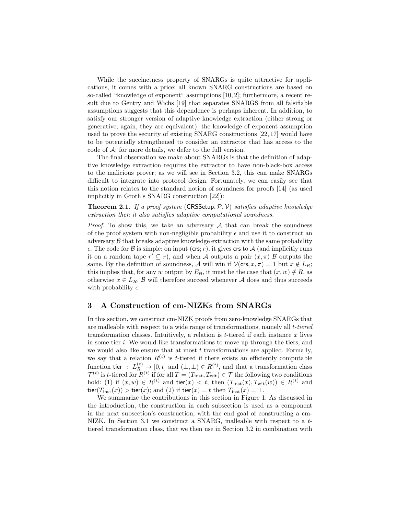While the succinctness property of SNARGs is quite attractive for applications, it comes with a price: all known SNARG constructions are based on so-called "knowledge of exponent" assumptions [10, 2]; furthermore, a recent result due to Gentry and Wichs [19] that separates SNARGS from all falsifiable assumptions suggests that this dependence is perhaps inherent. In addition, to satisfy our stronger version of adaptive knowledge extraction (either strong or generative; again, they are equivalent), the knowledge of exponent assumption used to prove the security of existing SNARG constructions [22, 17] would have to be potentially strengthened to consider an extractor that has access to the code of A; for more details, we defer to the full version.

The final observation we make about SNARGs is that the definition of adaptive knowledge extraction requires the extractor to have non-black-box access to the malicious prover; as we will see in Section 3.2, this can make SNARGs difficult to integrate into protocol design. Fortunately, we can easily see that this notion relates to the standard notion of soundness for proofs [14] (as used implicitly in Groth's SNARG construction [22]):

**Theorem 2.1.** If a proof system  $(CRSSetup, P, V)$  satisfies adaptive knowledge extraction then it also satisfies adaptive computational soundness.

*Proof.* To show this, we take an adversary  $A$  that can break the soundness of the proof system with non-negligible probability  $\epsilon$  and use it to construct an adversary  $\beta$  that breaks adaptive knowledge extraction with the same probability  $\epsilon$ . The code for  $\beta$  is simple: on input (crs; r), it gives crs to  $\mathcal{A}$  (and implicitly runs it on a random tape  $r' \subseteq r$ , and when A outputs a pair  $(x, \pi)$  B outputs the same. By the definition of soundness, A will win if  $\mathcal{V}(\mathsf{crs}, x, \pi) = 1$  but  $x \notin L_R$ ; this implies that, for any w output by  $E_{\mathcal{B}}$ , it must be the case that  $(x, w) \notin R$ , as otherwise  $x \in L_R$ . B will therefore succeed whenever A does and thus succeeds with probability  $\epsilon$ .

### 3 A Construction of cm-NIZKs from SNARGs

In this section, we construct cm-NIZK proofs from zero-knowledge SNARGs that are malleable with respect to a wide range of transformations, namely all t-tiered transformation classes. Intuitively, a relation is  $t$ -tiered if each instance x lives in some tier  $i$ . We would like transformations to move up through the tiers, and we would also like ensure that at most  $t$  transformations are applied. Formally, we say that a relation  $R^{(t)}$  is t-tiered if there exists an efficiently computable function tier :  $L_R^{(t)} \to [0, t]$  and  $(\perp, \perp) \in R^{(t)}$ , and that a transformation class  $\mathcal{T}^{(t)}$  is t-tiered for  $R^{(t)}$  if for all  $T = (T_{\text{inst}}, T_{\text{wit}}) \in \mathcal{T}$  the following two conditions hold: (1) if  $(x, w) \in R^{(t)}$  and tier $(x) < t$ , then  $(T_{\text{inst}}(x), T_{\text{wit}}(w)) \in R^{(t)}$  and tier( $T_{\text{inst}}(x)$ ) > tier(x); and (2) if tier(x) = t then  $T_{\text{inst}}(x) = \perp$ .

We summarize the contributions in this section in Figure 1. As discussed in the introduction, the construction in each subsection is used as a component in the next subsection's construction, with the end goal of constructing a cm-NIZK. In Section 3.1 we construct a SNARG, malleable with respect to a ttiered transformation class, that we then use in Section 3.2 in combination with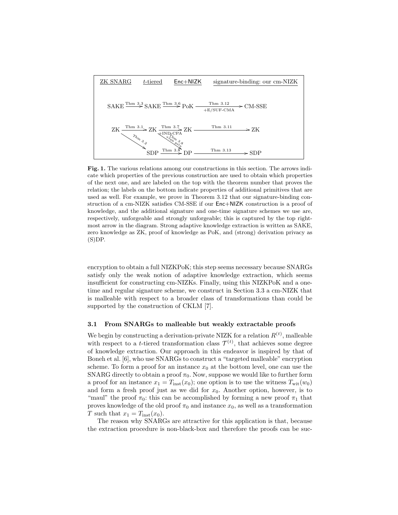

Fig. 1. The various relations among our constructions in this section. The arrows indicate which properties of the previous construction are used to obtain which properties of the next one, and are labeled on the top with the theorem number that proves the relation; the labels on the bottom indicate properties of additional primitives that are used as well. For example, we prove in Theorem 3.12 that our signature-binding construction of a cm-NIZK satisfies CM-SSE if our Enc+NIZK construction is a proof of knowledge, and the additional signature and one-time signature schemes we use are, respectively, unforgeable and strongly unforgeable; this is captured by the top rightmost arrow in the diagram. Strong adaptive knowledge extraction is written as SAKE, zero knowledge as ZK, proof of knowledge as PoK, and (strong) derivation privacy as  $(S)DP.$ 

encryption to obtain a full NIZKPoK; this step seems necessary because SNARGs satisfy only the weak notion of adaptive knowledge extraction, which seems insufficient for constructing cm-NIZKs. Finally, using this NIZKPoK and a onetime and regular signature scheme, we construct in Section 3.3 a cm-NIZK that is malleable with respect to a broader class of transformations than could be supported by the construction of CKLM [7].

#### 3.1 From SNARGs to malleable but weakly extractable proofs

We begin by constructing a derivation-private NIZK for a relation  $R^{(t)}$ , malleable with respect to a *t*-tiered transformation class  $\mathcal{T}^{(t)}$ , that achieves some degree of knowledge extraction. Our approach in this endeavor is inspired by that of Boneh et al. [6], who use SNARGs to construct a "targeted malleable" encryption scheme. To form a proof for an instance  $x_0$  at the bottom level, one can use the SNARG directly to obtain a proof  $\pi_0$ . Now, suppose we would like to further form a proof for an instance  $x_1 = T_{inst}(x_0)$ ; one option is to use the witness  $T_{wit}(w_0)$ and form a fresh proof just as we did for  $x_0$ . Another option, however, is to "maul" the proof  $\pi_0$ : this can be accomplished by forming a new proof  $\pi_1$  that proves knowledge of the old proof  $\pi_0$  and instance  $x_0$ , as well as a transformation T such that  $x_1 = T_{\text{inst}}(x_0)$ .

The reason why SNARGs are attractive for this application is that, because the extraction procedure is non-black-box and therefore the proofs can be suc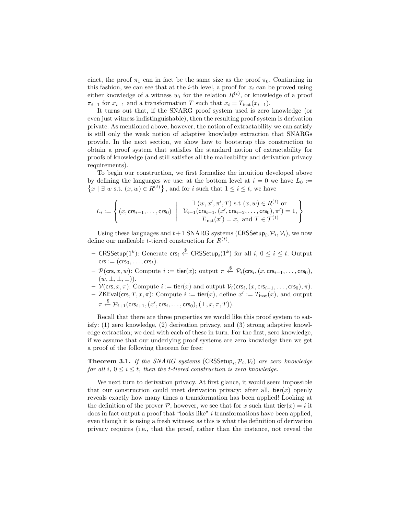cinct, the proof  $\pi_1$  can in fact be the same size as the proof  $\pi_0$ . Continuing in this fashion, we can see that at the *i*-th level, a proof for  $x_i$  can be proved using either knowledge of a witness  $w_i$  for the relation  $R^{(t)}$ , or knowledge of a proof  $\pi_{i-1}$  for  $x_{i-1}$  and a transformation T such that  $x_i = T_{inst}(x_{i-1})$ .

It turns out that, if the SNARG proof system used is zero knowledge (or even just witness indistinguishable), then the resulting proof system is derivation private. As mentioned above, however, the notion of extractability we can satisfy is still only the weak notion of adaptive knowledge extraction that SNARGs provide. In the next section, we show how to bootstrap this construction to obtain a proof system that satisfies the standard notion of extractability for proofs of knowledge (and still satisfies all the malleability and derivation privacy requirements).

To begin our construction, we first formalize the intuition developed above by defining the languages we use: at the bottom level at  $i = 0$  we have  $L_0 :=$  $\{x \mid \exists w \text{ s.t. } (x, w) \in R^{(t)}\}\$ , and for i such that  $1 \leq i \leq t$ , we have

$$
L_i := \left\{ (x, \text{crs}_{i-1}, \dots, \text{crs}_0) \middle| \begin{array}{c} \exists (w, x', \pi', T) \text{ s.t } (x, w) \in R^{(t)} \text{ or } \\ \mathcal{V}_{i-1}(\text{crs}_{i-1}, (x', \text{crs}_{i-2}, \dots, \text{crs}_0), \pi') = 1, \\ T_{\text{inst}}(x') = x, \text{ and } T \in \mathcal{T}^{(t)} \end{array} \right\}
$$

Using these languages and  $t+1$  SNARG systems (CRSSetup<sub>i</sub>,  $\mathcal{P}_i$ ,  $\mathcal{V}_i$ ), we now define our malleable *t*-tiered construction for  $R^{(t)}$ .

- $−$  CRSSetup $(1^k)$ : Generate  $\mathsf{crs}_i \stackrel{\$}{\leftarrow}$  CRSSetup $_i(1^k)$  for all  $i, \, 0 \leq i \leq t.$  Output  $\text{crs} := (\text{crs}_0, \ldots, \text{crs}_t).$
- $\mathcal{P}(\mathsf{crs}, x, w)$ : Compute  $i := \mathsf{tier}(x)$ ; output  $\pi \overset{\$}{\leftarrow} \mathcal{P}_i(\mathsf{crs}_i, (x, \mathsf{crs}_{i-1}, \dots, \mathsf{crs}_0),$  $(w, \perp, \perp, \perp)).$
- $\mathcal{V}(\mathsf{crs}, x, \pi)$ : Compute  $i := \mathsf{tier}(x)$  and output  $\mathcal{V}_i(\mathsf{crs}_i, (x, \mathsf{crs}_{i-1}, \dots, \mathsf{crs}_0), \pi)$ .
- ZKEval(crs, T, x,  $\pi$ ): Compute  $i := \text{tier}(x)$ , define  $x' := T_{\text{inst}}(x)$ , and output  $\pi \overset{\$}{\leftarrow} \mathcal{P}_{i+1}(\mathsf{crs}_{i+1}, (x', \mathsf{crs}_i, \dots, \mathsf{crs}_0), (\bot, x, \pi, T)).$

Recall that there are three properties we would like this proof system to satisfy: (1) zero knowledge, (2) derivation privacy, and (3) strong adaptive knowledge extraction; we deal with each of these in turn. For the first, zero knowledge, if we assume that our underlying proof systems are zero knowledge then we get a proof of the following theorem for free:

**Theorem 3.1.** If the SNARG systems (CRSSetup<sub>i</sub>,  $\mathcal{P}_i$ ,  $\mathcal{V}_i$ ) are zero knowledge for all i,  $0 \le i \le t$ , then the t-tiered construction is zero knowledge.

We next turn to derivation privacy. At first glance, it would seem impossible that our construction could meet derivation privacy: after all, tier $(x)$  openly reveals exactly how many times a transformation has been applied! Looking at the definition of the prover  $P$ , however, we see that for x such that tier(x) = i it does in fact output a proof that "looks like" i transformations have been applied, even though it is using a fresh witness; as this is what the definition of derivation privacy requires (i.e., that the proof, rather than the instance, not reveal the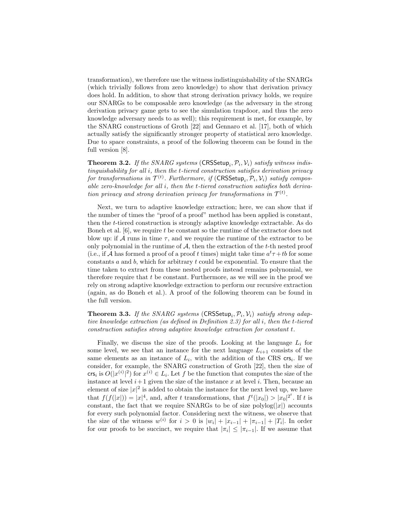transformation), we therefore use the witness indistinguishability of the SNARGs (which trivially follows from zero knowledge) to show that derivation privacy does hold. In addition, to show that strong derivation privacy holds, we require our SNARGs to be composable zero knowledge (as the adversary in the strong derivation privacy game gets to see the simulation trapdoor, and thus the zero knowledge adversary needs to as well); this requirement is met, for example, by the SNARG constructions of Groth [22] and Gennaro et al. [17], both of which actually satisfy the significantly stronger property of statistical zero knowledge. Due to space constraints, a proof of the following theorem can be found in the full version [8].

**Theorem 3.2.** If the SNARG systems (CRSSetup<sub>i</sub>,  $\mathcal{P}_i$ ,  $\mathcal{V}_i$ ) satisfy witness indistinguishability for all i, then the t-tiered construction satisfies derivation privacy for transformations in  $\mathcal{T}^{(t)}$ . Furthermore, if  $(\mathsf{CRSSetup}_i, \mathcal{P}_i, \mathcal{V}_i)$  satisfy composable zero-knowledge for all i, then the t-tiered construction satisfies both derivation privacy and strong derivation privacy for transformations in  $\mathcal{T}^{(t)}$ .

Next, we turn to adaptive knowledge extraction; here, we can show that if the number of times the "proof of a proof" method has been applied is constant, then the t-tiered construction is strongly adaptive knowledge extractable. As do Boneh et al. [6], we require t be constant so the runtime of the extractor does not blow up: if A runs in time  $\tau$ , and we require the runtime of the extractor to be only polynomial in the runtime of  $A$ , then the extraction of the  $t$ -th nested proof (i.e., if A has formed a proof of a proof t times) might take time  $a^t \tau + t b$  for some constants a and b, which for arbitrary t could be exponential. To ensure that the time taken to extract from these nested proofs instead remains polynomial, we therefore require that  $t$  be constant. Furthermore, as we will see in the proof we rely on strong adaptive knowledge extraction to perform our recursive extraction (again, as do Boneh et al.). A proof of the following theorem can be found in the full version.

**Theorem 3.3.** If the SNARG systems  $(CRSSetup_i, \mathcal{P}_i, \mathcal{V}_i)$  satisfy strong adaptive knowledge extraction (as defined in Definition 2.3) for all i, then the t-tiered construction satisfies strong adaptive knowledge extraction for constant t.

Finally, we discuss the size of the proofs. Looking at the language  $L_i$  for some level, we see that an instance for the next language  $L_{i+1}$  consists of the same elements as an instance of  $L_i$ , with the addition of the CRS crs<sub>i</sub>. If we consider, for example, the SNARG construction of Groth [22], then the size of crs<sub>i</sub> is  $O(|x^{(i)}|^2)$  for  $x^{(i)} \in L_i$ . Let f be the function that computes the size of the instance at level  $i+1$  given the size of the instance x at level i. Then, because an element of size  $|x|^2$  is added to obtain the instance for the next level up, we have that  $f(f(|x|)) = |x|^4$ , and, after t transformations, that  $f^t(|x_0|) > |x_0|^{2^t}$ . If t is constant, the fact that we require SNARGs to be of size polylog(|x|) accounts for every such polynomial factor. Considering next the witness, we observe that the size of the witness  $w^{(i)}$  for  $i > 0$  is  $|w_i| + |x_{i-1}| + |\pi_{i-1}| + |T_i|$ . In order for our proofs to be succinct, we require that  $|\pi_i| \leq |\pi_{i-1}|$ . If we assume that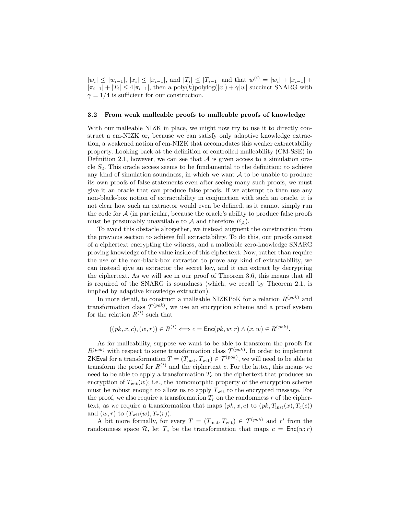$|w_i| \le |w_{i-1}|, |x_i| \le |x_{i-1}|$ , and  $|T_i| \le |T_{i-1}|$  and that  $w^{(i)} = |w_i| + |x_{i-1}| +$  $|\pi_{i-1}| + |T_i| \leq 4|\pi_{i-1}|$ , then a poly $(k)$ polylog $(|x|) + \gamma |w|$  succinct SNARG with  $\gamma = 1/4$  is sufficient for our construction.

#### 3.2 From weak malleable proofs to malleable proofs of knowledge

With our malleable NIZK in place, we might now try to use it to directly construct a cm-NIZK or, because we can satisfy only adaptive knowledge extraction, a weakened notion of cm-NIZK that accomodates this weaker extractability property. Looking back at the definition of controlled malleability (CM-SSE) in Definition 2.1, however, we can see that  $\mathcal A$  is given access to a simulation oracle  $S_2$ . This oracle access seems to be fundamental to the definition: to achieve any kind of simulation soundness, in which we want  $A$  to be unable to produce its own proofs of false statements even after seeing many such proofs, we must give it an oracle that can produce false proofs. If we attempt to then use any non-black-box notion of extractability in conjunction with such an oracle, it is not clear how such an extractor would even be defined, as it cannot simply run the code for  $A$  (in particular, because the oracle's ability to produce false proofs must be presumably unavailable to  $A$  and therefore  $E_A$ ).

To avoid this obstacle altogether, we instead augment the construction from the previous section to achieve full extractability. To do this, our proofs consist of a ciphertext encrypting the witness, and a malleable zero-knowledge SNARG proving knowledge of the value inside of this ciphertext. Now, rather than require the use of the non-black-box extractor to prove any kind of extractability, we can instead give an extractor the secret key, and it can extract by decrypting the ciphertext. As we will see in our proof of Theorem 3.6, this means that all is required of the SNARG is soundness (which, we recall by Theorem 2.1, is implied by adaptive knowledge extraction).

In more detail, to construct a malleable NIZKPoK for a relation  $\mathcal{R}^{(pok)}$  and transformation class  $\mathcal{T}^{(pok)}$ , we use an encryption scheme and a proof system for the relation  $R^{(t)}$  such that

$$
((pk, x, c), (w, r)) \in R^{(t)} \Longleftrightarrow c = \text{Enc}(pk, w; r) \land (x, w) \in R^{(pok)}.
$$

As for malleability, suppose we want to be able to transform the proofs for  $R^{(pok)}$  with respect to some transformation class  $\mathcal{T}^{(pok)}$ . In order to implement ZKEval for a transformation  $T = (T_{\text{inst}}, T_{\text{wit}}) \in \mathcal{T}^{(pok)}$ , we will need to be able to transform the proof for  $R^{(t)}$  and the ciphertext c. For the latter, this means we need to be able to apply a transformation  $T_c$  on the ciphertext that produces an encryption of  $T<sub>wit</sub>(w)$ ; i.e., the homomorphic property of the encryption scheme must be robust enough to allow us to apply  $T<sub>wit</sub>$  to the encrypted message. For the proof, we also require a transformation  $T_r$  on the randomness r of the ciphertext, as we require a transformation that maps  $(pk, x, c)$  to  $(pk, T_{inst}(x), T_c(c))$ and  $(w, r)$  to  $(T_{\text{wit}}(w), T_r(r))$ .

A bit more formally, for every  $T = (T_{\text{inst}}, T_{\text{wit}}) \in \mathcal{T}^{(pok)}$  and r' from the randomness space  $\mathcal{R}$ , let  $T_c$  be the transformation that maps  $c = \mathsf{Enc}(w; r)$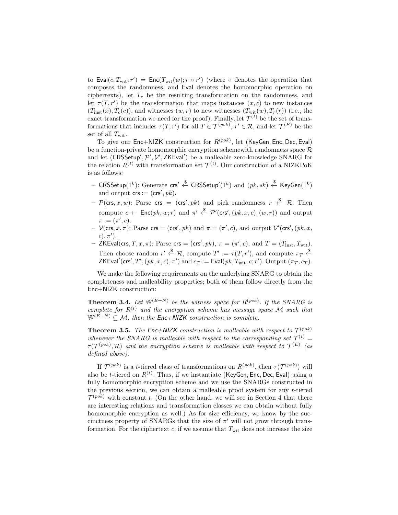to Eval $(c, T_{\text{wit}}; r') = \text{Enc}(T_{\text{wit}}(w); r \circ r')$  (where  $\circ$  denotes the operation that composes the randomness, and Eval denotes the homomorphic operation on ciphertexts), let  $T_r$  be the resulting transformation on the randomness, and let  $\tau(T, r')$  be the transformation that maps instances  $(x, c)$  to new instances  $(T_{\text{inst}}(x), T_c(c))$ , and witnesses  $(w, r)$  to new witnesses  $(T_{\text{wit}}(w), T_r(r))$  (i.e., the exact transformation we need for the proof). Finally, let  $\mathcal{T}^{(t)}$  be the set of transformations that includes  $\tau(T, r')$  for all  $T \in \mathcal{T}^{(pok)}$ ,  $r' \in \mathcal{R}$ , and let  $\mathcal{T}^{(E)}$  be the set of all  $T_{\text{wit}}$ .

To give our  $\mathsf{Enc}\text{+NIZK}$  construction for  $R^{(pok)},$  let (KeyGen, Enc, Dec, Eval) be a function-private homomorphic encryption schemewith randomness space  $\mathcal R$ and let  $(CRSSetup', P', V', ZKEval')$  be a malleable zero-knowledge SNARG for the relation  $R^{(t)}$  with transformation set  $\mathcal{T}^{(t)}$ . Our construction of a NIZKPoK is as follows:

- − CRSSetup(1<sup>k</sup>): Generate crs' ← CRSSetup'(1<sup>k</sup>) and (pk, sk) ← KeyGen(1<sup>k</sup>) and output  $\mathsf{crs} := (\mathsf{crs}', pk).$
- P(crs, x, w): Parse crs = (crs', pk) and pick randomness  $r \stackrel{\$}{\leftarrow} \mathcal{R}$ . Then compute  $c \leftarrow \mathsf{Enc}(pk, w; r)$  and  $\pi' \stackrel{\$}{\leftarrow} \mathcal{P}'(\mathsf{crs}', (pk, x, c), (w, r))$  and output  $\pi := (\pi', c).$
- $-V(crs, x, π)$ : Parse crs = (crs', pk) and  $π = (π', c)$ , and output  $V'(crs', (pk, x, z))$  $(c), \pi'$ ).
- ZKEval(crs,  $T, x, \pi$ ): Parse crs = (crs', pk),  $\pi = (\pi', c)$ , and  $T = (T_{\text{inst}}, T_{\text{wit}})$ . Then choose random  $r' \stackrel{\$}{\leftarrow} \mathcal{R}$ , compute  $T' := \tau(T, r')$ , and compute  $\pi_T \stackrel{\$}{\leftarrow}$ ZKEval'(crs', T',  $(pk, x, c)$ ,  $\pi'$ ) and  $c_T := \text{Eval}(pk, T_{\text{wit}}, c; r')$ . Output  $(\pi_T, c_T)$ .

We make the following requirements on the underlying SNARG to obtain the completeness and malleability properties; both of them follow directly from the Enc+NIZK construction:

**Theorem 3.4.** Let  $\mathbb{W}^{(E+N)}$  be the witness space for  $R^{(pok)}$ . If the SNARG is complete for  $R^{(t)}$  and the encryption scheme has message space M such that  $\mathbb{W}^{(E+N)} \subset \mathcal{M}$ , then the **Enc+NIZK** construction is complete.

**Theorem 3.5.** The Enc+NIZK construction is malleable with respect to  $\mathcal{T}^{(pok)}$ whenever the SNARG is malleable with respect to the corresponding set  $\mathcal{T}^{(t)}$  =  $\tau(\mathcal{T}^{(pok)}, \mathcal{R})$  and the encryption scheme is malleable with respect to  $\mathcal{T}^{(E)}$  (as defined above).

If  $\mathcal{T}^{(pok)}$  is a t-tiered class of transformations on  $R^{(pok)}$ , then  $\tau(\mathcal{T}^{(pok)})$  will also be *t*-tiered on  $R^{(t)}$ . Thus, if we instantiate (KeyGen, Enc, Dec, Eval) using a fully homomorphic encryption scheme and we use the SNARGs constructed in the previous section, we can obtain a malleable proof system for any  $t$ -tiered  $\mathcal{T}^{(pok)}$  with constant t. (On the other hand, we will see in Section 4 that there are interesting relations and transformation classes we can obtain without fully homomorphic encryption as well.) As for size efficiency, we know by the succinctness property of SNARGs that the size of  $\pi'$  will not grow through transformation. For the ciphertext c, if we assume that  $T_{\text{wit}}$  does not increase the size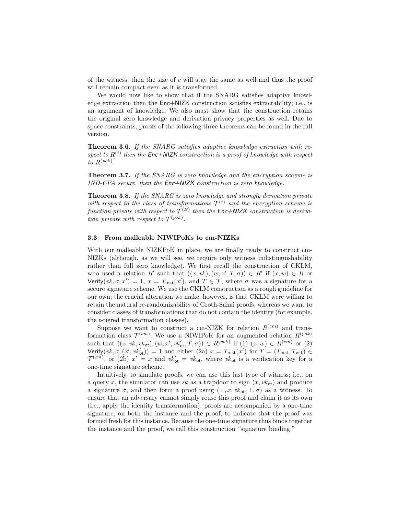of the witness, then the size of  $c$  will stay the same as well and thus the proof will remain compact even as it is transformed.

We would now like to show that if the SNARG satisfies adaptive knowledge extraction then the Enc+NIZK construction satisfies extractability; i.e., is an argument of knowledge. We also must show that the construction retains the original zero knowledge and derivation privacy properties as well. Due to space constraints, proofs of the following three theorems can be found in the full version.

Theorem 3.6. If the SNARG satisfies adaptive knowledge extraction with respect to  $R^{(t)}$  then the **Enc+NIZK** construction is a proof of knowledge with respect to  $R^{(pok)}$ .

Theorem 3.7. If the SNARG is zero knowledge and the encryption scheme is IND-CPA secure, then the Enc+NIZK construction is zero knowledge.

Theorem 3.8. If the SNARG is zero knowledge and strongly derivation private with respect to the class of transformations  $\mathcal{T}^{(t)}$  and the encryption scheme is function private with respect to  $\mathcal{T}^{(E)}$  then the **Enc**+NIZK construction is derivation private with respect to  $\mathcal{T}^{(pok)}$ .

#### 3.3 From malleable NIWIPoKs to cm-NIZKs

With our malleable NIZKPoK in place, we are finally ready to construct cm-NIZKs (although, as we will see, we require only witness indistinguishability rather than full zero knowledge). We first recall the construction of CKLM, who used a relation R' such that  $((x, vk), (w, x', T, \sigma)) \in R'$  if  $(x, w) \in R$  or Verify $(vk, \sigma, x') = 1$ ,  $x = T_{inst}(x')$ , and  $T \in \mathcal{T}$ , where  $\sigma$  was a signature for a secure signature scheme. We use the CKLM construction as a rough guideline for our own; the crucial alteration we make, however, is that CKLM were willing to retain the natural re-randomizability of Groth-Sahai proofs, whereas we want to consider classes of transformations that do not contain the identity (for example, the t-tiered transformation classes).

Suppose we want to construct a cm-NIZK for relation  $R<sup>(cm)</sup>$  and transformation class  $\mathcal{T}^{(cm)}$ . We use a NIWIPoK for an augmented relation  $R^{(pok)}$ such that  $((x, vk, vk_{ot}), (w, x', vk'_{ot}, T, \sigma)) \in R^{(pok)}$  if  $(1)$   $(x, w) \in R^{(cm)}$  or  $(2)$  $Verify(vk, \sigma, (x', vk'_{ot})) = 1$  and either (2a)  $x = T_{inst}(x')$  for  $T = (T_{inst}, T_{wit}) \in$  $\mathcal{T}^{(cm)}$ , or (2b)  $x' = x$  and  $vk'_{\text{ot}} = vk_{\text{ot}}$ , where  $vk_{\text{ot}}$  is a verification key for a one-time signature scheme.

Intuitively, to simulate proofs, we can use this last type of witness; i.e., on a query x, the simulator can use sk as a trapdoor to sign  $(x, v k_{\text{ot}})$  and produce a signature  $\sigma$ , and then form a proof using  $(\perp, x, vk_{ot}, \perp, \sigma)$  as a witness. To ensure that an adversary cannot simply reuse this proof and claim it as its own (i.e., apply the identity transformation), proofs are accompanied by a one-time signature, on both the instance and the proof, to indicate that the proof was formed fresh for this instance. Because the one-time signature thus binds together the instance and the proof, we call this construction "signature binding."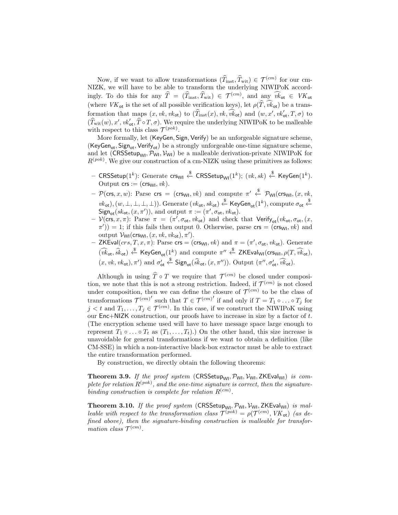Now, if we want to allow transformations  $(\widehat{T}_{\text{inst}}, \widehat{T}_{\text{wit}}) \in \mathcal{T}^{(cm)}$  for our cm-<br> $\widehat{T}_{\text{int}}$ NIZK, we will have to be able to transform the underlying NIWIPoK accordingly. To do this for any  $\hat{T} = (\hat{T}_{inst}, \hat{T}_{wit}) \in \mathcal{T}^{(cm)}$ , and any  $\hat{vk}_{ot} \in VK_{ot}$ (where  $VK_{\text{ot}}$  is the set of all possible verification keys), let  $\rho(\widehat{T}, \widehat{vk}_{\text{ot}})$  be a transformation that maps  $(x, vk, vk_{ot})$  to  $(\widehat{T}_{inst}(x), vk, \widehat{vk}_{ot})$  and  $(w, x', vk'_{ot}, T, \sigma)$  to  $(\widehat{T}_{\text{wit}}(w), x', \textit{vk}_{\text{ot}}', \widehat{T} \circ T, \sigma)$ . We require the underlying NIWIPoK to be malleable with respect to this class  $\mathcal{T}^{(pok)}$ .

More formally, let (KeyGen, Sign, Verify) be an unforgeable signature scheme, (KeyGen<sub>ot</sub>, Sign<sub>ot</sub>, Verify<sub>ot</sub>) be a strongly unforgeable one-time signature scheme, and let (CRSSetup<sub>WI</sub>,  $\mathcal{P}_{WI}$ ,  $\mathcal{V}_{WI}$ ) be a malleable derivation-private NIWIPoK for  $R^{(pok)}$ . We give our construction of a cm-NIZK using these primitives as follows:

- $-$  CRSSetup $(1^k)$ : Generate  $\mathsf{crs}_{\mathsf{WII}} \overset{\$}{\leftarrow}$  CRSSetup $_{\mathsf{WII}}(1^k);~(vk, sk) \overset{\$}{\leftarrow}$  KeyGen $(1^k).$ Output  $\text{crs} := (\text{crs}_{\text{WI}}, vk)$ .
- $-$  P(crs, x, w): Parse crs = (crs<sub>WI</sub>, vk) and compute  $\pi' \stackrel{\$}{\leftarrow} \mathcal{P}_{\mathsf{WI}}(\mathsf{crs}_{\mathsf{WI}},(x,vk,$  $vk_{\text{ot}}$ , $(w, \bot, \bot, \bot, \bot)$ ). Generate  $(vk_{\text{ot}}, sk_{\text{ot}}) \overset{\$}{\leftarrow}$  KeyGen $_{\text{ot}}(1^k)$ , compute  $\sigma_{\text{ot}} \overset{\$}{\leftarrow}$  $Sign_{ot}(sk_{ot}, (x, \pi'))$ , and output  $\pi := (\pi', \sigma_{ot}, vk_{ot})$ .
- $V(\text{crs}, x, \pi)$ : Parse  $\pi = (\pi', \sigma_{\text{ot}}, v k_{\text{ot}})$  and check that  $V$ erify<sub>ot</sub> $(v k_{\text{ot}}, \sigma_{\text{ot}}, (x, \pi))$  $(\pi')$  = 1; if this fails then output 0. Otherwise, parse  $\text{crs} = (\text{crs}_{W1}, vk)$  and output  $\mathcal{V}_{\text{WI}}(\text{crs}_{\text{WI}},(x,\textit{vk},\textit{vk}_{\text{ot}}), \pi').$
- ZKEval( $crs, T, x, \pi$ ): Parse  $\textsf{crs} = (\textsf{crs}_{\textsf{WI}}, \textit{vk})$  and  $\pi = (\pi', \sigma_{\textsf{ot}}, \textit{vk}_{\textsf{ot}})$ . Generate  $(\widehat{\text{vk}}_{\text{ot}}, \widehat{\text{sk}}_{\text{ot}}) \stackrel{\$}{\leftarrow} \text{KeyGen}_{\text{ot}}(1^k)$  and compute  $\pi'' \stackrel{\$}{\leftarrow} \text{ZKEval}_{\text{WI}}(\text{crs}_{\text{WI}}, \rho(T, \widehat{\text{vk}}_{\text{ot}}),$  $(x,\textit{vk},\textit{vk}_\textsf{ot}), \pi')$  and  $\sigma'_\textsf{ot}$  $\stackrel{\$}{\leftarrow}$  Sign<sub>ot</sub>( $\widehat{sk}_{\text{ot}}$ ,  $(x, \pi'')$ ). Output ( $\pi''$ ,  $\sigma'_{\text{ot}}$ ,  $\widehat{wk}_{\text{ot}}$ ).

Although in using  $\widetilde{T} \circ T$  we require that  $\mathcal{T}^{(cm)}$  be closed under composition, we note that this is not a strong restriction. Indeed, if  $\mathcal{T}^{(cm)}$  is not closed under composition, then we can define the closure of  $\mathcal{T}^{(cm)}$  to be the class of transformations  $\mathcal{T}^{(cm)}'$  such that  $T \in \mathcal{T}^{(cm)}'$  if and only if  $T = T_1 \circ \dots \circ T_j$  for  $j < t$  and  $T_1, \ldots, T_j \in \mathcal{T}^{(cm)}$ . In this case, if we construct the NIWIPoK using our  $Enc+NIZK$  construction, our proofs have to increase in size by a factor of t. (The encryption scheme used will have to have message space large enough to represent  $T_1 \circ \ldots \circ T_t$  as  $(T_1, \ldots, T_t)$ .) On the other hand, this size increase is unavoidable for general transformations if we want to obtain a definition (like CM-SSE) in which a non-interactive black-box extractor must be able to extract the entire transformation performed.

By construction, we directly obtain the following theorems:

**Theorem 3.9.** If the proof system (CRSSetup<sub>WI</sub>,  $P_{WI}$ ,  $V_{WI}$ , ZKEval<sub>WI</sub>) is complete for relation  $R^{(pok)}$ , and the one-time signature is correct, then the signaturebinding construction is complete for relation  $R^{(cm)}$ .

Theorem 3.10. If the proof system (CRSSetup<sub>WI</sub>,  $\mathcal{P}_{\text{WI}}$ ,  $\mathcal{V}_{\text{WI}}$ , ZKEval<sub>WI</sub>) is malleable with respect to the transformation class  $\mathcal{T}^{(pok)} = \rho(\mathcal{T}^{(cm)}, VK_{ot})$  (as defined above), then the signature-binding construction is malleable for transformation class  $\mathcal{T}^{(cm)}$ .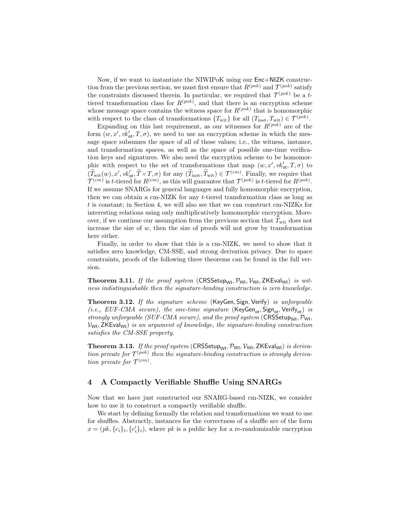Now, if we want to instantiate the NIWIPoK using our Enc+NIZK construction from the previous section, we must first ensure that  $R^{(pok)}$  and  $\mathcal{T}^{(pok)}$  satisfy the constraints discussed therein. In particular, we required that  $\mathcal{T}^{(pok)}$  be a ttiered transformation class for  $R^{(pok)}$ , and that there is an encryption scheme whose message space contains the witness space for  $R^{(pok)}$  that is homomorphic with respect to the class of transformations  $\{T_{\text{wit}}\}$  for all  $(T_{\text{inst}}, T_{\text{wit}}) \in \mathcal{T}^{(pok)}$ .

Expanding on this last requirement, as our witnesses for  $R^{(pok)}$  are of the form  $(w, x', v\overline{k}'_{\text{ot}}, T, \sigma)$ , we need to use an encryption scheme in which the message space subsumes the space of all of these values; i.e., the witness, instance, and transformation spaces, as well as the space of possible one-time verification keys and signatures. We also need the encryption scheme to be homomorphic with respect to the set of transformations that map  $(w, x', w'_{\text{ot}}, T, \sigma)$  to  $(\widehat{T}_{\text{wit}}(w), x', vk'_{\text{ot}}, \widehat{T} \circ T, \sigma)$  for any  $(\widehat{T}_{\text{inst}}, \widehat{T}_{\text{wit}}) \in \mathcal{T}^{(cm)}$ . Finally, we require that  $\mathcal{T}^{(cm)}$  is t-tiered for  $R^{(cm)}$ , as this will guarantee that  $\mathcal{T}^{(pok)}$  is t-tiered for  $R^{(pok)}$ . If we assume SNARGs for general languages and fully homomorphic encryption, then we can obtain a cm-NIZK for any t-tiered transformation class as long as t is constant; in Section 4, we will also see that we can construct cm-NIZKs for interesting relations using only multiplicatively homomorphic encryption. Moreover, if we continue our assumption from the previous section that  $T_{\text{wit}}$  does not increase the size of  $w$ , then the size of proofs will not grow by transformation here either.

Finally, in order to show that this is a cm-NIZK, we need to show that it satisfies zero knowledge, CM-SSE, and strong derivation privacy. Due to space constraints, proofs of the following three theorems can be found in the full version.

**Theorem 3.11.** If the proof system (CRSSetup<sub>WI</sub>,  $\mathcal{P}_{\text{WI}}$ ,  $\mathcal{V}_{\text{WI}}$ ,  $\mathsf{ZKEval}_{\text{WI}}$ ) is witness indistinguishable then the signature-binding construction is zero knowledge.

Theorem 3.12. If the signature scheme (KeyGen, Sign, Verify) is unforgeable (i.e., EUF-CMA secure), the one-time signature (KeyGen<sub>ot</sub>, Sign<sub>ot</sub>, Verify<sub>ot</sub>) is strongly unforgeable (SUF-CMA secure), and the proof system (CRSSetup<sub>WI</sub>,  $P_{W1}$ ,  $V_{\text{WI}}$ , ZKEval<sub>WI</sub>) is an argument of knowledge, the signature-binding construction satisfies the CM-SSE property.

**Theorem 3.13.** If the proof system (CRSSetup<sub>WI</sub>,  $\mathcal{P}_{WI}$ ,  $\mathcal{V}_{WI}$ , ZKEval<sub>WI</sub>) is derivation private for  $\mathcal{T}^{(pok)}$  then the signature-binding construction is strongly derivation private for  $\mathcal{T}^{(cm)}$ .

# 4 A Compactly Verifiable Shuffle Using SNARGs

Now that we have just constructed our SNARG-based cm-NIZK, we consider how to use it to construct a compactly verifiable shuffle.

We start by defining formally the relation and transformations we want to use for shuffles. Abstractly, instances for the correctness of a shuffle are of the form  $x = (pk, \{c_i\}_i, \{c'_i\}_i)$ , where pk is a public key for a re-randomizable encryption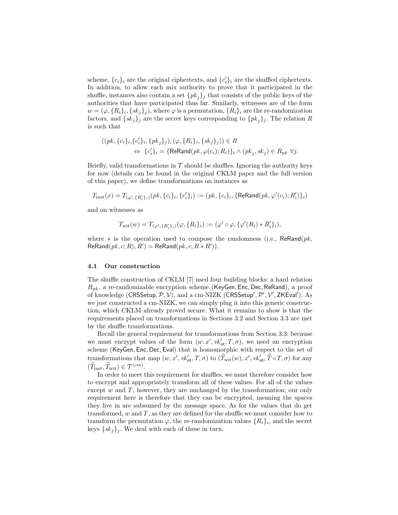scheme,  $\{c_i\}_i$  are the original ciphertexts, and  $\{c'_i\}_i$  are the shuffled ciphertexts. In addition, to allow each mix authority to prove that it participated in the shuffle, instances also contain a set  $\{pk_j\}$  that consists of the public keys of the authorities that have participated thus far. Similarly, witnesses are of the form  $w = (\varphi, \{R_i\}_i, \{sk_j\}_j)$ , where  $\varphi$  is a permutation,  $\{R_i\}_i$  are the re-randomization factors, and  $\{sk_j\}_j$  are the secret keys corresponding to  $\{pk_j\}_j$ . The relation R is such that

$$
((pk, \{c_i\}_i, \{c'_i\}_i, \{pk_j\}_j), (\varphi, \{R_i\}_i, \{sk_j\}_j)) \in R
$$
  

$$
\Leftrightarrow \{\underline{c'_i}\}_i = \{\text{ReRand}(pk, \varphi(c_i); R_i)\}_i \wedge (pk_j, sk_j) \in R_{pk} \ \forall j.
$$

Briefly, valid transformations in  $\mathcal T$  should be shuffles. Ignoring the authority keys for now (details can be found in the original CKLM paper and the full version of this paper), we define transformations on instances as

$$
T_{\text{inst}}(x) = T_{(\varphi', \{R'_i\}_i)}(pk, \{c_i\}_i, \{c'_i\}_i) := (pk, \{c_i\}_i, \{\textsf{ReRand}(pk, \varphi'(c_i); R'_i)\}_i)
$$

and on witnesses as

$$
T_{\text{wit}}(w) = T_{(\varphi', \{R'_i\}_i)}(\varphi, \{R_i\}_i) := (\varphi' \circ \varphi, \{\varphi'(R_i) * R'_i\}_i),
$$

where  $*$  is the operation used to compose the randomness (i.e., ReRand( $pk$ ,  $\mathsf{ReRand}(pk, c; R), R') = \mathsf{ReRand}(pk, c; R * R')).$ 

#### 4.1 Our construction

The shuffle construction of CKLM [7] used four building blocks: a hard relation  $R_{pk}$ , a re-randomizable encryption scheme (KeyGen, Enc, Dec, ReRand), a proof of knowledge (CRSSetup,  $\mathcal{P}, \mathcal{V}$ ), and a cm-NIZK (CRSSetup',  $\mathcal{P}', \mathcal{V}', ZKEval'$ ). As we just constructed a cm-NIZK, we can simply plug it into this generic construction, which CKLM already proved secure. What it remains to show is that the requirements placed on transformations in Sections 3.2 and Section 3.3 are met by the shuffle transformations.

Recall the general requirement for transformations from Section 3.3: because we must encrypt values of the form  $(w, x', vk'_{ot}, T, \sigma)$ , we need an encryption scheme (KeyGen, Enc, Dec, Eval) that is homomorphic with respect to the set of transformations that map  $(w, x', vk'_{\text{ot}}, T, \sigma)$  to  $(\widehat{T}_{\text{wit}}(w), x', vk'_{\text{ot}}, \widehat{T} \circ T, \sigma)$  for any  $(\widehat{T}_{\text{inst}}, \widehat{T}_{\text{wit}}) \in \mathcal{T}^{(cm)}$ .

In order to meet this requirement for shuffles, we must therefore consider how to encrypt and appropriately transform all of these values. For all of the values except  $w$  and  $T$ , however, they are unchanged by the transformation; our only requirement here is therefore that they can be encrypted, meaning the spaces they live in are subsumed by the message space. As for the values that do get transformed,  $w$  and  $T$ , as they are defined for the shuffle we must consider how to transform the permutation  $\varphi$ , the re-randomization values  $\{R_i\}_i$ , and the secret keys  $\{sk_j\}_j$ . We deal with each of these in turn.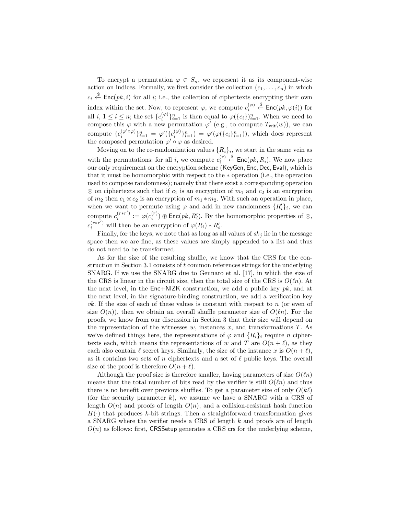To encrypt a permutation  $\varphi \in S_n$ , we represent it as its component-wise action on indices. Formally, we first consider the collection  $(c_1, \ldots, c_n)$  in which  $c_i \stackrel{\$}{\leftarrow}$  Enc(pk, i) for all i; i.e., the collection of ciphertexts encrypting their own index within the set. Now, to represent  $\varphi$ , we compute  $c_i^{(\varphi)}$  $\overset{\$}{\leftarrow}$  Enc $(pk, \varphi(i))$  for all  $i, 1 \leq i \leq n$ ; the set  $\{c_i^{(\varphi)}\}_{i=1}^n$  is then equal to  $\varphi(\{c_i\})_{i=1}^n$ . When we need to compose this  $\varphi$  with a new permutation  $\varphi'$  (e.g., to compute  $T_{\text{wit}}(w)$ ), we can compute  ${c_i^{(\varphi' \circ \varphi)}\}_{i=1}^n = \varphi'({c_i^{(\varphi)}\}_{i=1}^n) = \varphi'(\varphi({c_i}_{i=1}^n))$ , which does represent the composed permutation  $\varphi' \circ \varphi$  as desired.

Moving on to the re-randomization values  $\{R_i\}_i$ , we start in the same vein as with the permutations: for all *i*, we compute  $c_i^{(r)}$  $\overset{\$}{\leftarrow}$  Enc(pk, R<sub>i</sub>). We now place our only requirement on the encryption scheme (KeyGen, Enc, Dec, Eval), which is that it must be homomorphic with respect to the ∗ operation (i.e., the operation used to compose randomness); namely that there exist a corresponding operation  $\circledast$  on ciphertexts such that if  $c_1$  is an encryption of  $m_1$  and  $c_2$  is an encryption of  $m_2$  then  $c_1 \otimes c_2$  is an encryption of  $m_1 * m_2$ . With such an operation in place, when we want to permute using  $\varphi$  and add in new randomness  $\{R'_i\}_i$ , we can compute  $c_i^{(r*r')} := \varphi(c_i^{(r)}) \circledast \mathsf{Enc}(pk, R_i').$  By the homomorphic properties of  $\circledast$ ,  $c_i^{(r*r')}$  will then be an encryption of  $\varphi(R_i) * R'_i$ .

Finally, for the keys, we note that as long as all values of  $sk_j$  lie in the message space then we are fine, as these values are simply appended to a list and thus do not need to be transformed.

As for the size of the resulting shuffle, we know that the CRS for the construction in Section 3.1 consists of t common references strings for the underlying SNARG. If we use the SNARG due to Gennaro et al. [17], in which the size of the CRS is linear in the circuit size, then the total size of the CRS is  $O(\ell n)$ . At the next level, in the  $Enc+NIZK$  construction, we add a public key  $pk$ , and at the next level, in the signature-binding construction, we add a verification key  $vk.$  If the size of each of these values is constant with respect to  $n$  (or even of size  $O(n)$ , then we obtain an overall shuffle parameter size of  $O(\ell n)$ . For the proofs, we know from our discussion in Section 3 that their size will depend on the representation of the witnesses  $w$ , instances  $x$ , and transformations  $T$ . As we've defined things here, the representations of  $\varphi$  and  $\{R_i\}_i$  require n ciphertexts each, which means the representations of w and T are  $O(n + \ell)$ , as they each also contain  $\ell$  secret keys. Similarly, the size of the instance x is  $O(n + \ell)$ , as it contains two sets of n ciphertexts and a set of  $\ell$  public keys. The overall size of the proof is therefore  $O(n + \ell)$ .

Although the proof size is therefore smaller, having parameters of size  $O(\ell n)$ means that the total number of bits read by the verifier is still  $O(\ell n)$  and thus there is no benefit over previous shuffles. To get a parameter size of only  $O(k\ell)$ (for the security parameter k), we assume we have a SNARG with a CRS of length  $O(n)$  and proofs of length  $O(n)$ , and a collision-resistant hash function  $H(\cdot)$  that produces k-bit strings. Then a straightforward transformation gives a SNARG where the verifier needs a CRS of length k and proofs are of length  $O(n)$  as follows: first, CRSSetup generates a CRS crs for the underlying scheme,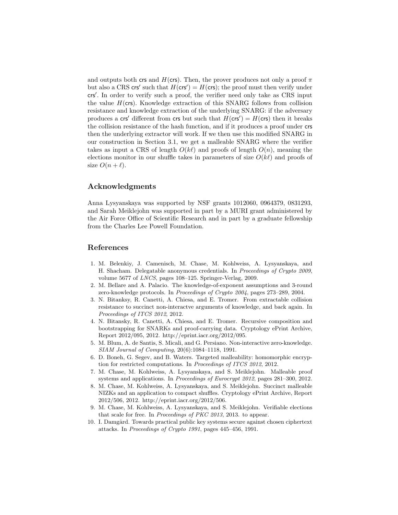and outputs both crs and H(crs). Then, the prover produces not only a proof  $\pi$ but also a CRS crs' such that  $H(\text{crs}') = H(\text{crs})$ ; the proof must then verify under crs'. In order to verify such a proof, the verifier need only take as CRS input the value  $H(\text{crs})$ . Knowledge extraction of this SNARG follows from collision resistance and knowledge extraction of the underlying SNARG: if the adversary produces a crs' different from crs but such that  $H(\text{crs}') = H(\text{crs})$  then it breaks the collision resistance of the hash function, and if it produces a proof under crs then the underlying extractor will work. If we then use this modified SNARG in our construction in Section 3.1, we get a malleable SNARG where the verifier takes as input a CRS of length  $O(k\ell)$  and proofs of length  $O(n)$ , meaning the elections monitor in our shuffle takes in parameters of size  $O(k\ell)$  and proofs of size  $O(n + \ell)$ .

# Acknowledgments

Anna Lysyanskaya was supported by NSF grants 1012060, 0964379, 0831293, and Sarah Meiklejohn was supported in part by a MURI grant administered by the Air Force Office of Scientific Research and in part by a graduate fellowship from the Charles Lee Powell Foundation.

# References

- 1. M. Belenkiy, J. Camenisch, M. Chase, M. Kohlweiss, A. Lysyanskaya, and H. Shacham. Delegatable anonymous credentials. In Proceedings of Crypto 2009, volume 5677 of LNCS, pages 108–125. Springer-Verlag, 2009.
- 2. M. Bellare and A. Palacio. The knowledge-of-exponent assumptions and 3-round zero-knowledge protocols. In Proceedings of Crypto 2004, pages 273–289, 2004.
- 3. N. Bitanksy, R. Canetti, A. Chiesa, and E. Tromer. From extractable collision resistance to succinct non-interactve arguments of knowledge, and back again. In Proceedings of ITCS 2012, 2012.
- 4. N. Bitansky, R. Canetti, A. Chiesa, and E. Tromer. Recursive composition and bootstrapping for SNARKs and proof-carrying data. Cryptology ePrint Archive, Report 2012/095, 2012. http://eprint.iacr.org/2012/095.
- 5. M. Blum, A. de Santis, S. Micali, and G. Persiano. Non-interactive zero-knowledge. SIAM Journal of Computing, 20(6):1084–1118, 1991.
- 6. D. Boneh, G. Segev, and B. Waters. Targeted malleability: homomorphic encryption for restricted computations. In Proceedings of ITCS 2012, 2012.
- 7. M. Chase, M. Kohlweiss, A. Lysyanskaya, and S. Meiklejohn. Malleable proof systems and applications. In Proceedings of Eurocrypt 2012, pages 281–300, 2012.
- 8. M. Chase, M. Kohlweiss, A. Lysyanskaya, and S. Meiklejohn. Succinct malleable NIZKs and an application to compact shuffles. Cryptology ePrint Archive, Report 2012/506, 2012. http://eprint.iacr.org/2012/506.
- 9. M. Chase, M. Kohlweiss, A. Lysyanskaya, and S. Meiklejohn. Verifiable elections that scale for free. In Proceedings of PKC 2013, 2013. to appear.
- 10. I. Damgård. Towards practical public key systems secure against chosen ciphertext attacks. In Proceedings of Crypto 1991, pages 445–456, 1991.